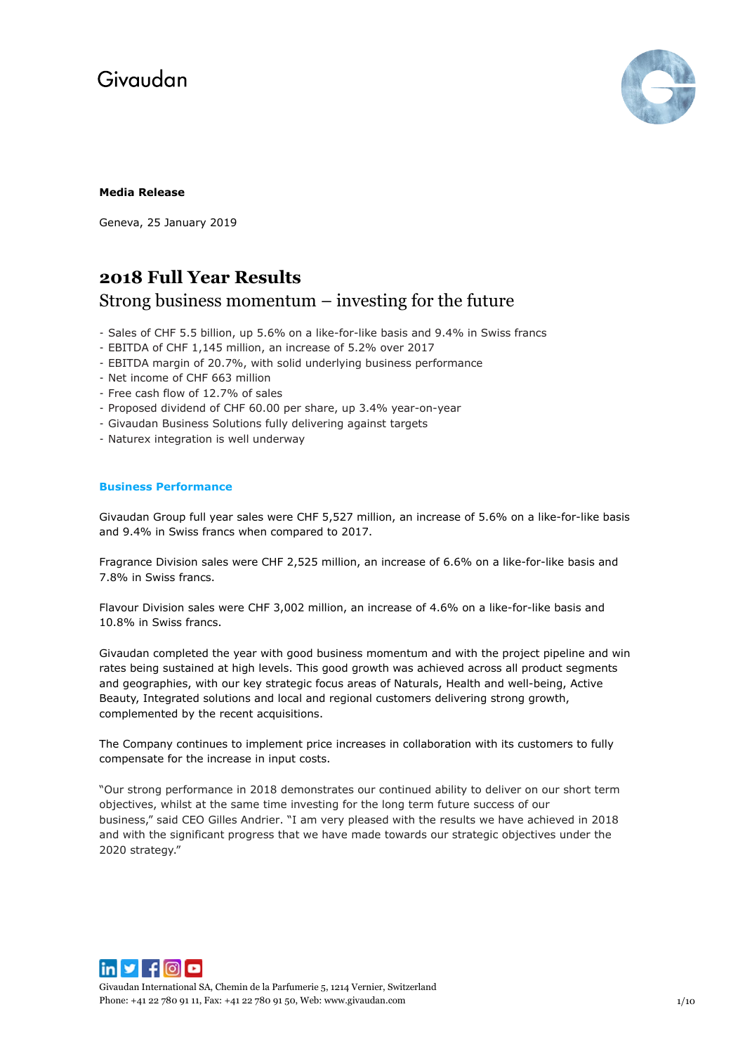

## **Media Release**

Geneva, 25 January 2019

## **2018 Full Year Results**

## Strong business momentum – investing for the future

- Sales of CHF 5.5 billion, up 5.6% on a like-for-like basis and 9.4% in Swiss francs
- EBITDA of CHF 1,145 million, an increase of 5.2% over 2017
- EBITDA margin of 20.7%, with solid underlying business performance
- Net income of CHF 663 million
- Free cash flow of 12.7% of sales
- Proposed dividend of CHF 60.00 per share, up 3.4% year-on-year
- Givaudan Business Solutions fully delivering against targets
- Naturex integration is well underway

## **Business Performance**

Givaudan Group full year sales were CHF 5,527 million, an increase of 5.6% on a like-for-like basis and 9.4% in Swiss francs when compared to 2017.

Fragrance Division sales were CHF 2,525 million, an increase of 6.6% on a like-for-like basis and 7.8% in Swiss francs.

Flavour Division sales were CHF 3,002 million, an increase of 4.6% on a like-for-like basis and 10.8% in Swiss francs.

Givaudan completed the year with good business momentum and with the project pipeline and win rates being sustained at high levels. This good growth was achieved across all product segments and geographies, with our key strategic focus areas of Naturals, Health and well-being, Active Beauty, Integrated solutions and local and regional customers delivering strong growth, complemented by the recent acquisitions.

The Company continues to implement price increases in collaboration with its customers to fully compensate for the increase in input costs.

"Our strong performance in 2018 demonstrates our continued ability to deliver on our short term objectives, whilst at the same time investing for the long term future success of our business," said CEO Gilles Andrier. "I am very pleased with the results we have achieved in 2018 and with the significant progress that we have made towards our strategic objectives under the 2020 strategy."



Givaudan International SA, Chemin de la Parfumerie 5, 1214 Vernier, Switzerland Phone: +41 22 780 91 11, Fax: +41 22 780 91 50, Web[: www.givaudan.com](http://www.givaudan.com/) 1/10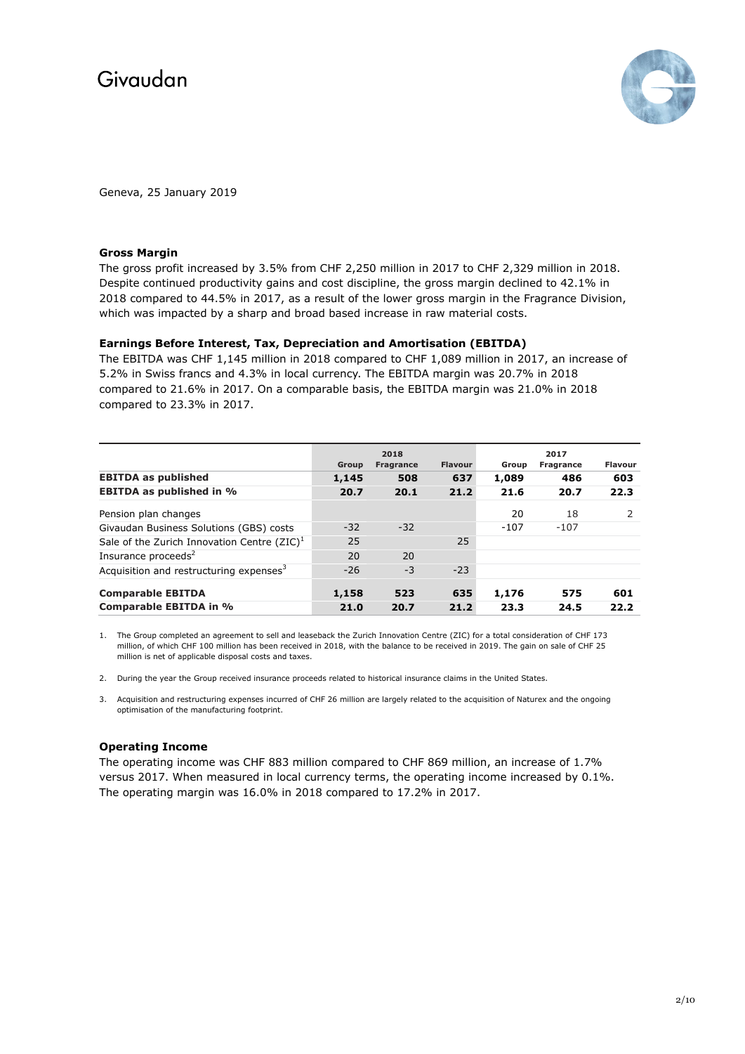

Geneva, 25 January 2019

### **Gross Margin**

The gross profit increased by 3.5% from CHF 2,250 million in 2017 to CHF 2,329 million in 2018. Despite continued productivity gains and cost discipline, the gross margin declined to 42.1% in 2018 compared to 44.5% in 2017, as a result of the lower gross margin in the Fragrance Division, which was impacted by a sharp and broad based increase in raw material costs.

## **Earnings Before Interest, Tax, Depreciation and Amortisation (EBITDA)**

The EBITDA was CHF 1,145 million in 2018 compared to CHF 1,089 million in 2017, an increase of 5.2% in Swiss francs and 4.3% in local currency. The EBITDA margin was 20.7% in 2018 compared to 21.6% in 2017. On a comparable basis, the EBITDA margin was 21.0% in 2018 compared to 23.3% in 2017.

|                                                     | 2018  |                  |                | 2017   |                  |                |  |
|-----------------------------------------------------|-------|------------------|----------------|--------|------------------|----------------|--|
|                                                     | Group | <b>Fragrance</b> | <b>Flavour</b> | Group  | <b>Fragrance</b> | <b>Flavour</b> |  |
| <b>EBITDA as published</b>                          | 1,145 | 508              | 637            | 1,089  | 486              | 603            |  |
| <b>EBITDA as published in %</b>                     | 20.7  | 20.1             | 21.2           | 21.6   | 20.7             | 22.3           |  |
| Pension plan changes                                |       |                  |                | 20     | 18               |                |  |
| Givaudan Business Solutions (GBS) costs             | $-32$ | $-32$            |                | $-107$ | $-107$           |                |  |
| Sale of the Zurich Innovation Centre $(ZIC)^1$      | 25    |                  | 25             |        |                  |                |  |
| Insurance proceeds <sup>2</sup>                     | 20    | 20               |                |        |                  |                |  |
| Acquisition and restructuring expenses <sup>3</sup> | $-26$ | $-3$             | $-23$          |        |                  |                |  |
| <b>Comparable EBITDA</b>                            | 1,158 | 523              | 635            | 1,176  | 575              | 601            |  |
| <b>Comparable EBITDA in %</b>                       | 21.0  | 20.7             | 21.2           | 23.3   | 24.5             | 22.2           |  |

1. The Group completed an agreement to sell and leaseback the Zurich Innovation Centre (ZIC) for a total consideration of CHF 173 million, of which CHF 100 million has been received in 2018, with the balance to be received in 2019. The gain on sale of CHF 25 million is net of applicable disposal costs and taxes.

- 2. During the year the Group received insurance proceeds related to historical insurance claims in the United States.
- 3. Acquisition and restructuring expenses incurred of CHF 26 million are largely related to the acquisition of Naturex and the ongoing optimisation of the manufacturing footprint.

#### **Operating Income**

The operating income was CHF 883 million compared to CHF 869 million, an increase of 1.7% versus 2017. When measured in local currency terms, the operating income increased by 0.1%. The operating margin was 16.0% in 2018 compared to 17.2% in 2017.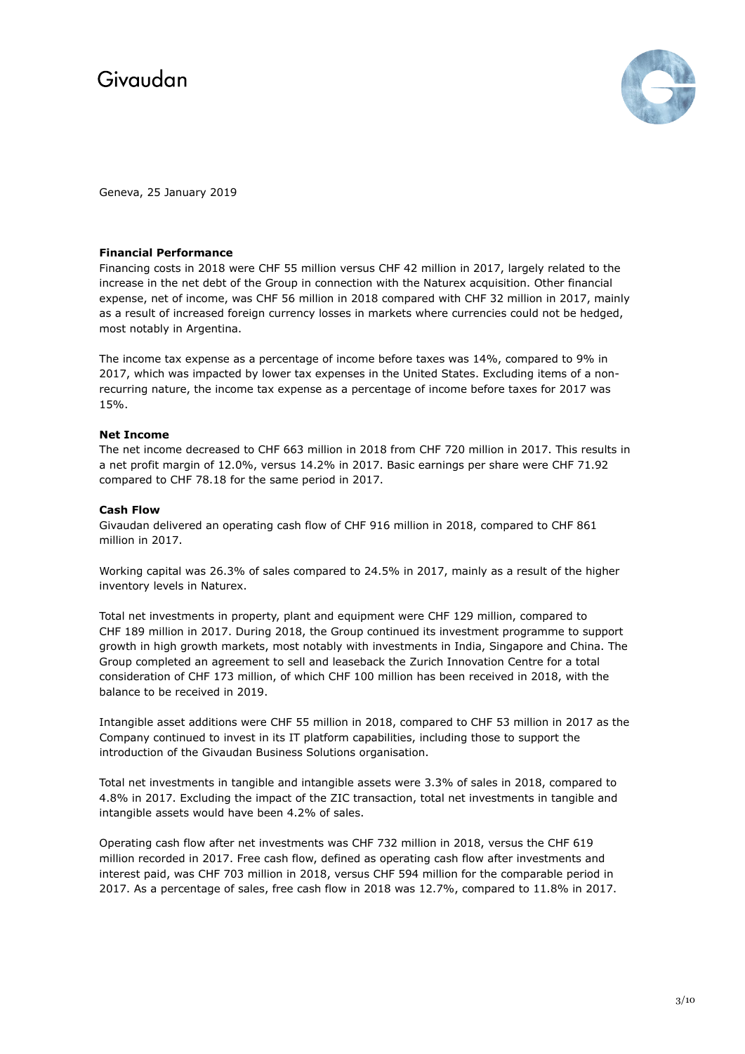

Geneva, 25 January 2019

### **Financial Performance**

Financing costs in 2018 were CHF 55 million versus CHF 42 million in 2017, largely related to the increase in the net debt of the Group in connection with the Naturex acquisition. Other financial expense, net of income, was CHF 56 million in 2018 compared with CHF 32 million in 2017, mainly as a result of increased foreign currency losses in markets where currencies could not be hedged, most notably in Argentina.

The income tax expense as a percentage of income before taxes was 14%, compared to 9% in 2017, which was impacted by lower tax expenses in the United States. Excluding items of a nonrecurring nature, the income tax expense as a percentage of income before taxes for 2017 was 15%.

## **Net Income**

The net income decreased to CHF 663 million in 2018 from CHF 720 million in 2017. This results in a net profit margin of 12.0%, versus 14.2% in 2017. Basic earnings per share were CHF 71.92 compared to CHF 78.18 for the same period in 2017.

## **Cash Flow**

Givaudan delivered an operating cash flow of CHF 916 million in 2018, compared to CHF 861 million in 2017.

Working capital was 26.3% of sales compared to 24.5% in 2017, mainly as a result of the higher inventory levels in Naturex.

Total net investments in property, plant and equipment were CHF 129 million, compared to CHF 189 million in 2017. During 2018, the Group continued its investment programme to support growth in high growth markets, most notably with investments in India, Singapore and China. The Group completed an agreement to sell and leaseback the Zurich Innovation Centre for a total consideration of CHF 173 million, of which CHF 100 million has been received in 2018, with the balance to be received in 2019.

Intangible asset additions were CHF 55 million in 2018, compared to CHF 53 million in 2017 as the Company continued to invest in its IT platform capabilities, including those to support the introduction of the Givaudan Business Solutions organisation.

Total net investments in tangible and intangible assets were 3.3% of sales in 2018, compared to 4.8% in 2017. Excluding the impact of the ZIC transaction, total net investments in tangible and intangible assets would have been 4.2% of sales.

Operating cash flow after net investments was CHF 732 million in 2018, versus the CHF 619 million recorded in 2017. Free cash flow, defined as operating cash flow after investments and interest paid, was CHF 703 million in 2018, versus CHF 594 million for the comparable period in 2017. As a percentage of sales, free cash flow in 2018 was 12.7%, compared to 11.8% in 2017.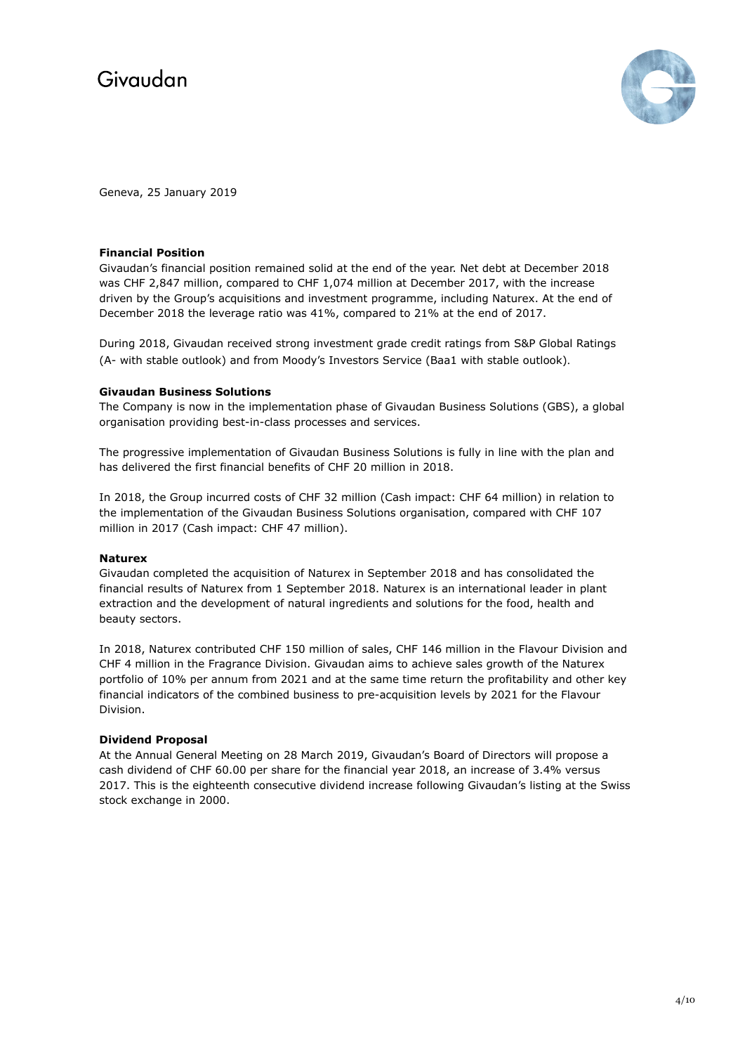

Geneva, 25 January 2019

### **Financial Position**

Givaudan's financial position remained solid at the end of the year. Net debt at December 2018 was CHF 2,847 million, compared to CHF 1,074 million at December 2017, with the increase driven by the Group's acquisitions and investment programme, including Naturex. At the end of December 2018 the leverage ratio was 41%, compared to 21% at the end of 2017.

During 2018, Givaudan received strong investment grade credit ratings from S&P Global Ratings (A- with stable outlook) and from Moody's Investors Service (Baa1 with stable outlook).

## **Givaudan Business Solutions**

The Company is now in the implementation phase of Givaudan Business Solutions (GBS), a global organisation providing best-in-class processes and services.

The progressive implementation of Givaudan Business Solutions is fully in line with the plan and has delivered the first financial benefits of CHF 20 million in 2018.

In 2018, the Group incurred costs of CHF 32 million (Cash impact: CHF 64 million) in relation to the implementation of the Givaudan Business Solutions organisation, compared with CHF 107 million in 2017 (Cash impact: CHF 47 million).

### **Naturex**

Givaudan completed the acquisition of Naturex in September 2018 and has consolidated the financial results of Naturex from 1 September 2018. Naturex is an international leader in plant extraction and the development of natural ingredients and solutions for the food, health and beauty sectors.

In 2018, Naturex contributed CHF 150 million of sales, CHF 146 million in the Flavour Division and CHF 4 million in the Fragrance Division. Givaudan aims to achieve sales growth of the Naturex portfolio of 10% per annum from 2021 and at the same time return the profitability and other key financial indicators of the combined business to pre-acquisition levels by 2021 for the Flavour Division.

## **Dividend Proposal**

At the Annual General Meeting on 28 March 2019, Givaudan's Board of Directors will propose a cash dividend of CHF 60.00 per share for the financial year 2018, an increase of 3.4% versus 2017. This is the eighteenth consecutive dividend increase following Givaudan's listing at the Swiss stock exchange in 2000.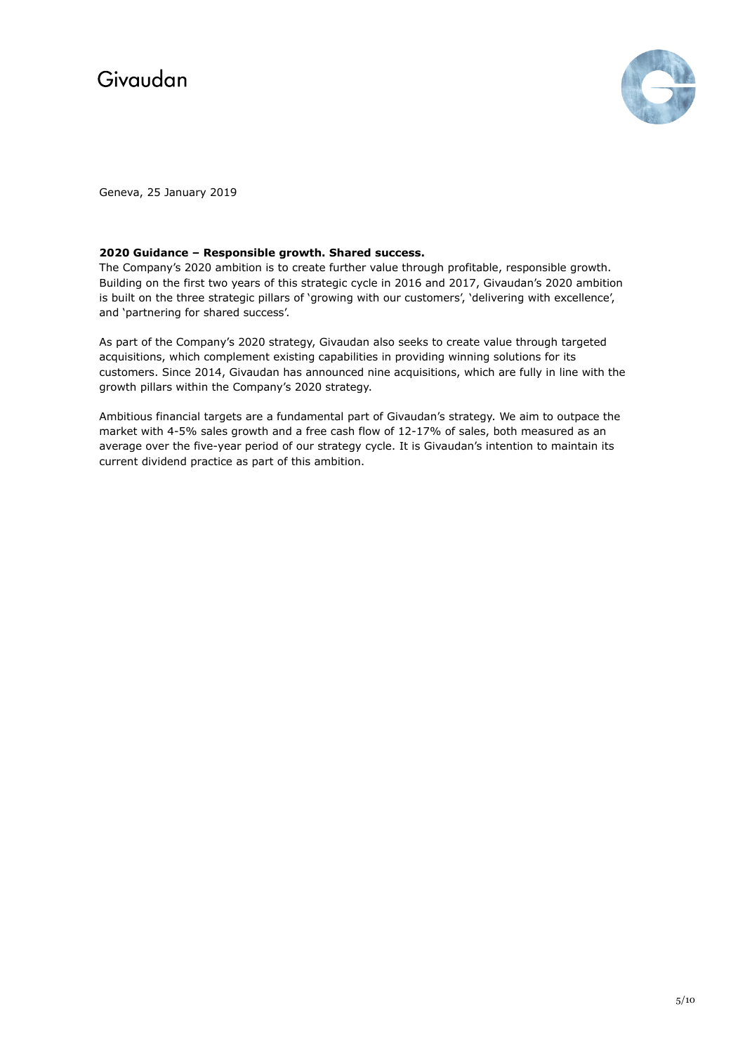

Geneva, 25 January 2019

## **2020 Guidance – Responsible growth. Shared success.**

The Company's 2020 ambition is to create further value through profitable, responsible growth. Building on the first two years of this strategic cycle in 2016 and 2017, Givaudan's 2020 ambition is built on the three strategic pillars of 'growing with our customers', 'delivering with excellence', and 'partnering for shared success'.

As part of the Company's 2020 strategy, Givaudan also seeks to create value through targeted acquisitions, which complement existing capabilities in providing winning solutions for its customers. Since 2014, Givaudan has announced nine acquisitions, which are fully in line with the growth pillars within the Company's 2020 strategy.

Ambitious financial targets are a fundamental part of Givaudan's strategy. We aim to outpace the market with 4-5% sales growth and a free cash flow of 12-17% of sales, both measured as an average over the five-year period of our strategy cycle. It is Givaudan's intention to maintain its current dividend practice as part of this ambition.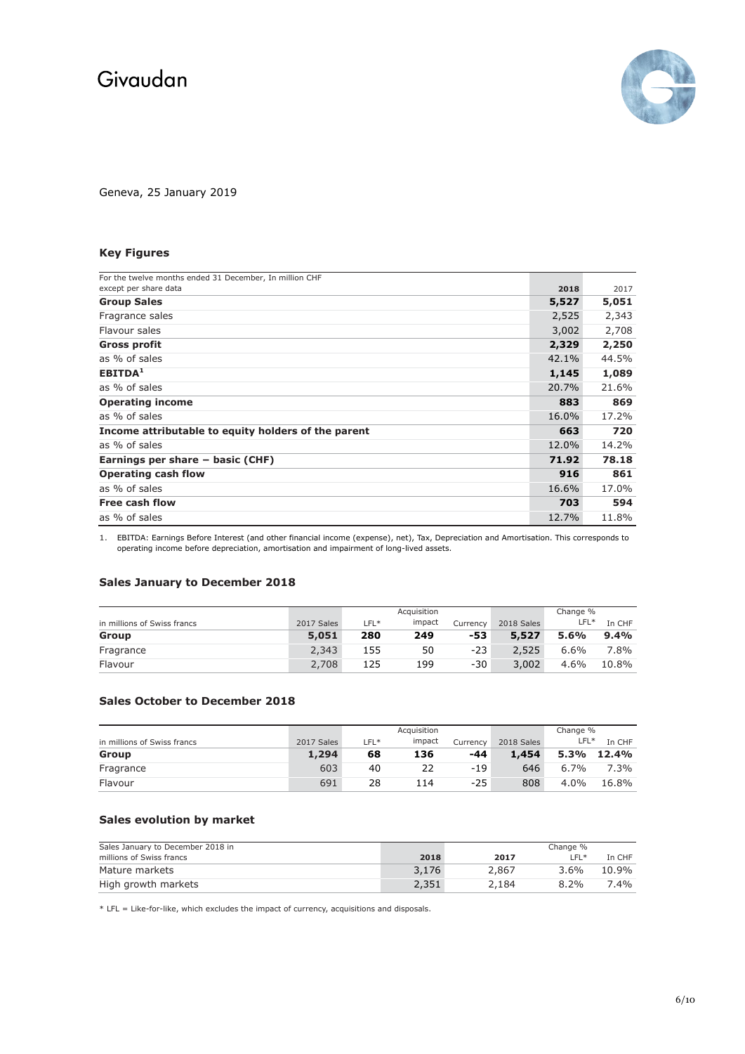

Geneva, 25 January 2019

## **Key Figures**

| For the twelve months ended 31 December, In million CHF |       |       |
|---------------------------------------------------------|-------|-------|
| except per share data                                   | 2018  | 2017  |
| <b>Group Sales</b>                                      | 5,527 | 5,051 |
| Fragrance sales                                         | 2,525 | 2,343 |
| Flavour sales                                           | 3,002 | 2,708 |
| <b>Gross profit</b>                                     | 2,329 | 2,250 |
| as % of sales                                           | 42.1% | 44.5% |
| EBITDA <sup>1</sup>                                     | 1,145 | 1,089 |
| as % of sales                                           | 20.7% | 21.6% |
| <b>Operating income</b>                                 | 883   | 869   |
| as % of sales                                           | 16.0% | 17.2% |
| Income attributable to equity holders of the parent     | 663   | 720   |
| as % of sales                                           | 12.0% | 14.2% |
| Earnings per share $-$ basic (CHF)                      | 71.92 | 78.18 |
| <b>Operating cash flow</b>                              | 916   | 861   |
| as % of sales                                           | 16.6% | 17.0% |
| Free cash flow                                          | 703   | 594   |
| as % of sales                                           | 12.7% | 11.8% |

1. EBITDA: Earnings Before Interest (and other financial income (expense), net), Tax, Depreciation and Amortisation. This corresponds to operating income before depreciation, amortisation and impairment of long-lived assets.

## **Sales January to December 2018**

|                             |            | Acquisition |        |          | Change %   |        |        |
|-----------------------------|------------|-------------|--------|----------|------------|--------|--------|
| in millions of Swiss francs | 2017 Sales | $LFL*$      | impact | Currency | 2018 Sales | $LFL*$ | In CHF |
| Group                       | 5,051      | 280         | 249    | -53      | 5,527      | 5.6%   | 9.4%   |
| Fragrance                   | 2,343      | 155         | 50     | $-23$    | 2,525      | 6.6%   | 7.8%   |
| Flavour                     | 2,708      | 125         | 199    | $-30$    | 3,002      | 4.6%   | 10.8%  |

## **Sales October to December 2018**

|                             |            | Acquisition |        |          | Change %   |         |         |
|-----------------------------|------------|-------------|--------|----------|------------|---------|---------|
| in millions of Swiss francs | 2017 Sales | LFL*        | impact | Currency | 2018 Sales | $LFL*$  | In CHF  |
| Group                       | 1,294      | 68          | 136    | -44      | 1,454      | 5.3%    | 12.4%   |
| Fragrance                   | 603        | 40          | 22     | $-19$    | 646        | $6.7\%$ | $7.3\%$ |
| Flavour                     | 691        | 28          | 14     | $-25$    | 808        | $4.0\%$ | 16.8%   |

## **Sales evolution by market**

| Sales January to December 2018 in |       |       | Change % |        |
|-----------------------------------|-------|-------|----------|--------|
| millions of Swiss francs          | 2018  | 2017  | $F^*$    | In CHF |
| Mature markets                    | 3,176 | 2,867 | $3.6\%$  | 10.9%  |
| High growth markets               | 2,351 | 2.184 | $8.2\%$  | 7.4%   |

 $*$  LFL = Like-for-like, which excludes the impact of currency, acquisitions and disposals.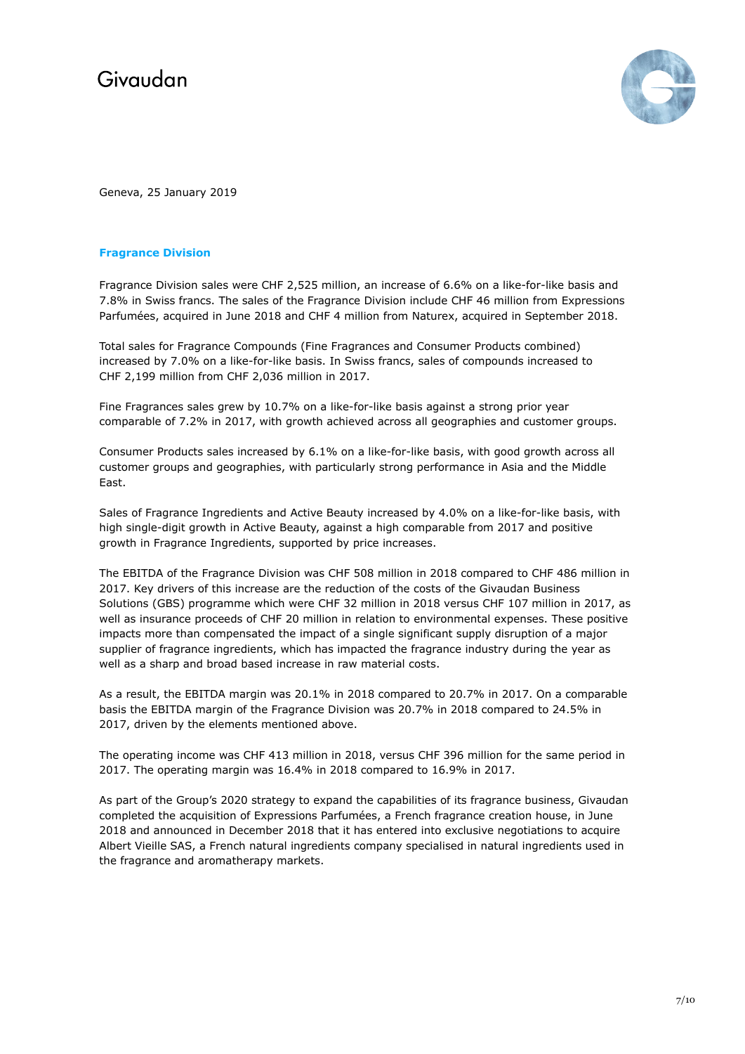

Geneva, 25 January 2019

## **Fragrance Division**

Fragrance Division sales were CHF 2,525 million, an increase of 6.6% on a like-for-like basis and 7.8% in Swiss francs. The sales of the Fragrance Division include CHF 46 million from Expressions Parfumées, acquired in June 2018 and CHF 4 million from Naturex, acquired in September 2018.

Total sales for Fragrance Compounds (Fine Fragrances and Consumer Products combined) increased by 7.0% on a like-for-like basis. In Swiss francs, sales of compounds increased to CHF 2,199 million from CHF 2,036 million in 2017.

Fine Fragrances sales grew by 10.7% on a like-for-like basis against a strong prior year comparable of 7.2% in 2017, with growth achieved across all geographies and customer groups.

Consumer Products sales increased by 6.1% on a like-for-like basis, with good growth across all customer groups and geographies, with particularly strong performance in Asia and the Middle East.

Sales of Fragrance Ingredients and Active Beauty increased by 4.0% on a like-for-like basis, with high single-digit growth in Active Beauty, against a high comparable from 2017 and positive growth in Fragrance Ingredients, supported by price increases.

The EBITDA of the Fragrance Division was CHF 508 million in 2018 compared to CHF 486 million in 2017. Key drivers of this increase are the reduction of the costs of the Givaudan Business Solutions (GBS) programme which were CHF 32 million in 2018 versus CHF 107 million in 2017, as well as insurance proceeds of CHF 20 million in relation to environmental expenses. These positive impacts more than compensated the impact of a single significant supply disruption of a major supplier of fragrance ingredients, which has impacted the fragrance industry during the year as well as a sharp and broad based increase in raw material costs.

As a result, the EBITDA margin was 20.1% in 2018 compared to 20.7% in 2017. On a comparable basis the EBITDA margin of the Fragrance Division was 20.7% in 2018 compared to 24.5% in 2017, driven by the elements mentioned above.

The operating income was CHF 413 million in 2018, versus CHF 396 million for the same period in 2017. The operating margin was 16.4% in 2018 compared to 16.9% in 2017.

As part of the Group's 2020 strategy to expand the capabilities of its fragrance business, Givaudan completed the acquisition of Expressions Parfumées, a French fragrance creation house, in June 2018 and announced in December 2018 that it has entered into exclusive negotiations to acquire Albert Vieille SAS, a French natural ingredients company specialised in natural ingredients used in the fragrance and aromatherapy markets.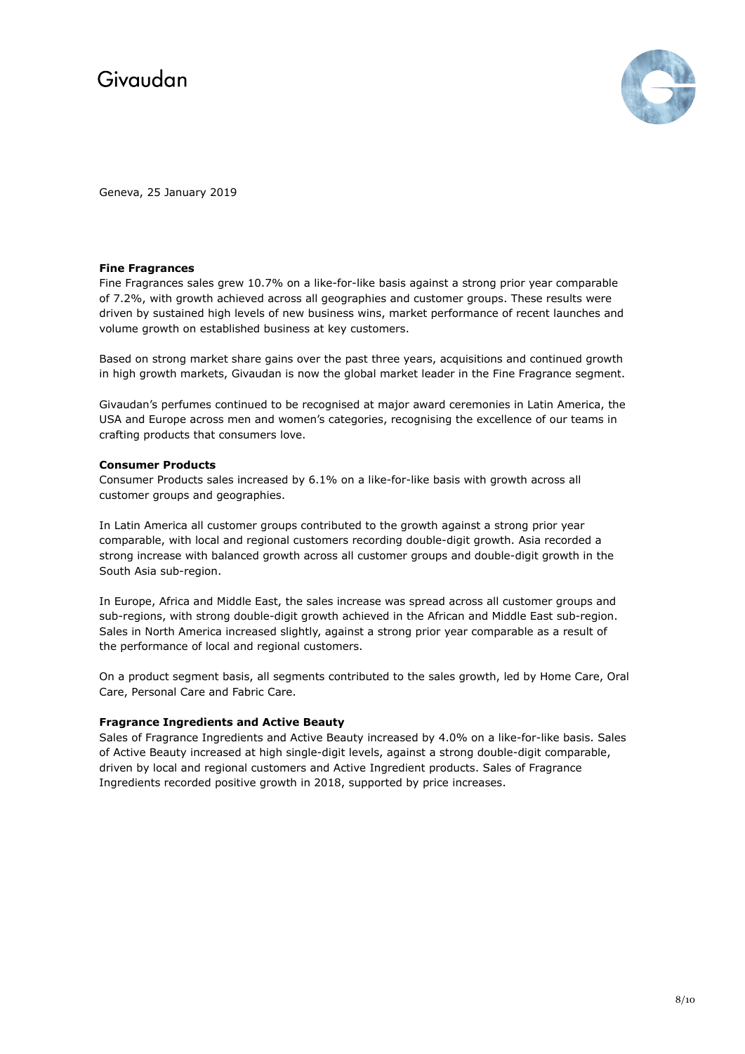

Geneva, 25 January 2019

## **Fine Fragrances**

Fine Fragrances sales grew 10.7% on a like-for-like basis against a strong prior year comparable of 7.2%, with growth achieved across all geographies and customer groups. These results were driven by sustained high levels of new business wins, market performance of recent launches and volume growth on established business at key customers.

Based on strong market share gains over the past three years, acquisitions and continued growth in high growth markets, Givaudan is now the global market leader in the Fine Fragrance segment.

Givaudan's perfumes continued to be recognised at major award ceremonies in Latin America, the USA and Europe across men and women's categories, recognising the excellence of our teams in crafting products that consumers love.

## **Consumer Products**

Consumer Products sales increased by 6.1% on a like-for-like basis with growth across all customer groups and geographies.

In Latin America all customer groups contributed to the growth against a strong prior year comparable, with local and regional customers recording double-digit growth. Asia recorded a strong increase with balanced growth across all customer groups and double-digit growth in the South Asia sub-region.

In Europe, Africa and Middle East, the sales increase was spread across all customer groups and sub-regions, with strong double-digit growth achieved in the African and Middle East sub-region. Sales in North America increased slightly, against a strong prior year comparable as a result of the performance of local and regional customers.

On a product segment basis, all segments contributed to the sales growth, led by Home Care, Oral Care, Personal Care and Fabric Care.

## **Fragrance Ingredients and Active Beauty**

Sales of Fragrance Ingredients and Active Beauty increased by 4.0% on a like-for-like basis. Sales of Active Beauty increased at high single-digit levels, against a strong double-digit comparable, driven by local and regional customers and Active Ingredient products. Sales of Fragrance Ingredients recorded positive growth in 2018, supported by price increases.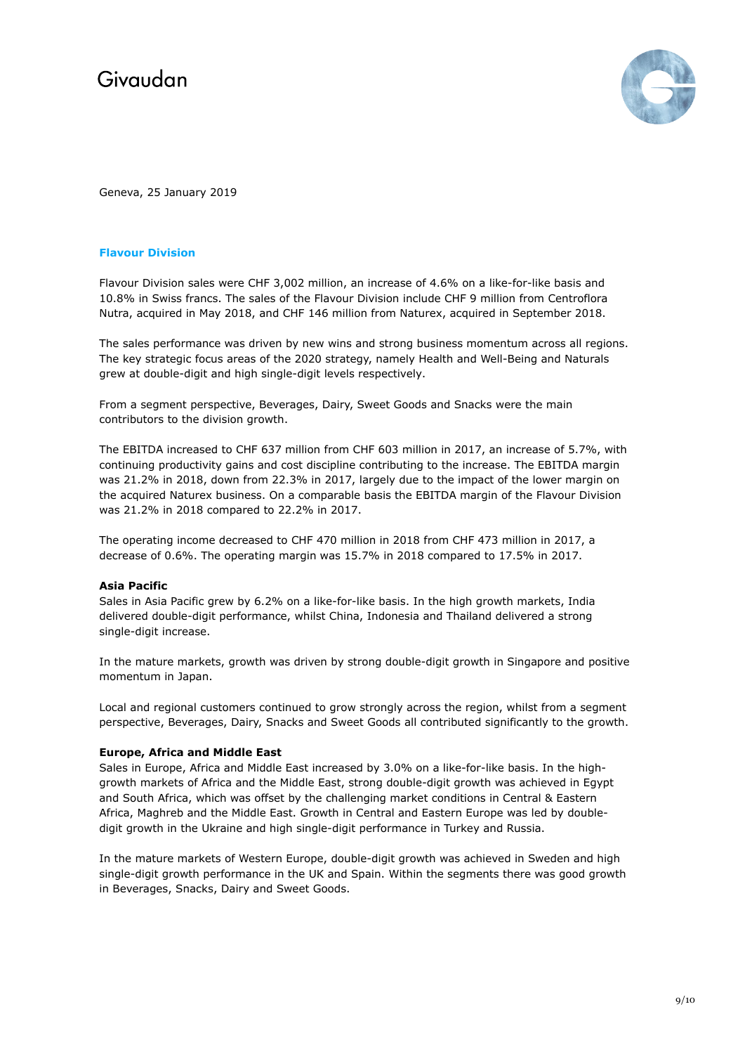

Geneva, 25 January 2019

### **Flavour Division**

Flavour Division sales were CHF 3,002 million, an increase of 4.6% on a like-for-like basis and 10.8% in Swiss francs. The sales of the Flavour Division include CHF 9 million from Centroflora Nutra, acquired in May 2018, and CHF 146 million from Naturex, acquired in September 2018.

The sales performance was driven by new wins and strong business momentum across all regions. The key strategic focus areas of the 2020 strategy, namely Health and Well-Being and Naturals grew at double-digit and high single-digit levels respectively.

From a segment perspective, Beverages, Dairy, Sweet Goods and Snacks were the main contributors to the division growth.

The EBITDA increased to CHF 637 million from CHF 603 million in 2017, an increase of 5.7%, with continuing productivity gains and cost discipline contributing to the increase. The EBITDA margin was 21.2% in 2018, down from 22.3% in 2017, largely due to the impact of the lower margin on the acquired Naturex business. On a comparable basis the EBITDA margin of the Flavour Division was 21.2% in 2018 compared to 22.2% in 2017.

The operating income decreased to CHF 470 million in 2018 from CHF 473 million in 2017, a decrease of 0.6%. The operating margin was 15.7% in 2018 compared to 17.5% in 2017.

#### **Asia Pacific**

Sales in Asia Pacific grew by 6.2% on a like-for-like basis. In the high growth markets, India delivered double-digit performance, whilst China, Indonesia and Thailand delivered a strong single-digit increase.

In the mature markets, growth was driven by strong double-digit growth in Singapore and positive momentum in Japan.

Local and regional customers continued to grow strongly across the region, whilst from a segment perspective, Beverages, Dairy, Snacks and Sweet Goods all contributed significantly to the growth.

#### **Europe, Africa and Middle East**

Sales in Europe, Africa and Middle East increased by 3.0% on a like-for-like basis. In the highgrowth markets of Africa and the Middle East, strong double-digit growth was achieved in Egypt and South Africa, which was offset by the challenging market conditions in Central & Eastern Africa, Maghreb and the Middle East. Growth in Central and Eastern Europe was led by doubledigit growth in the Ukraine and high single-digit performance in Turkey and Russia.

In the mature markets of Western Europe, double-digit growth was achieved in Sweden and high single-digit growth performance in the UK and Spain. Within the segments there was good growth in Beverages, Snacks, Dairy and Sweet Goods.